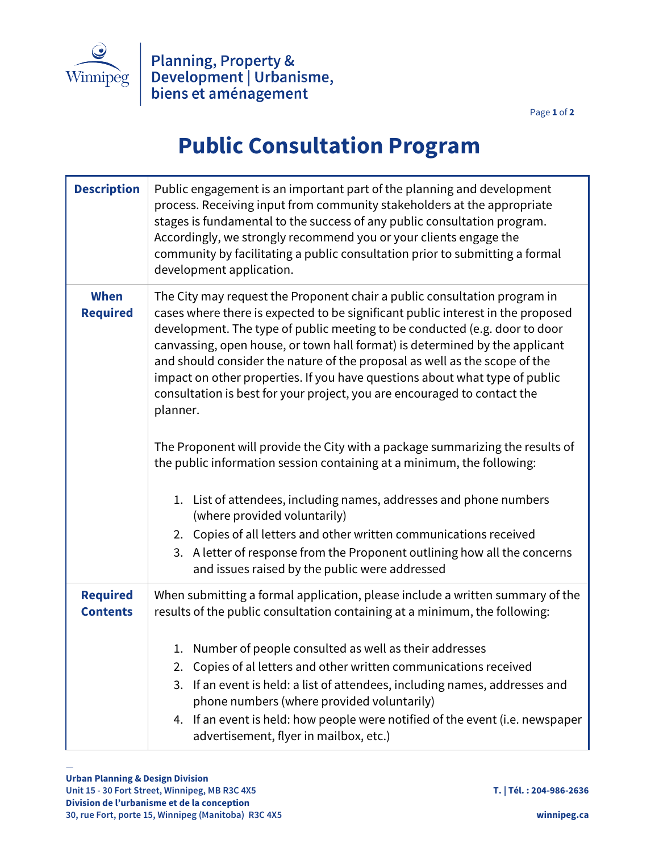

Page **1** of **2**

## **Public Consultation Program**

| <b>Description</b>                 | Public engagement is an important part of the planning and development<br>process. Receiving input from community stakeholders at the appropriate<br>stages is fundamental to the success of any public consultation program.<br>Accordingly, we strongly recommend you or your clients engage the<br>community by facilitating a public consultation prior to submitting a formal<br>development application.                                                                                                                                                                                                                                                                                                                                                                                                                                                                                                                                                                                                                                       |
|------------------------------------|------------------------------------------------------------------------------------------------------------------------------------------------------------------------------------------------------------------------------------------------------------------------------------------------------------------------------------------------------------------------------------------------------------------------------------------------------------------------------------------------------------------------------------------------------------------------------------------------------------------------------------------------------------------------------------------------------------------------------------------------------------------------------------------------------------------------------------------------------------------------------------------------------------------------------------------------------------------------------------------------------------------------------------------------------|
| <b>When</b><br><b>Required</b>     | The City may request the Proponent chair a public consultation program in<br>cases where there is expected to be significant public interest in the proposed<br>development. The type of public meeting to be conducted (e.g. door to door<br>canvassing, open house, or town hall format) is determined by the applicant<br>and should consider the nature of the proposal as well as the scope of the<br>impact on other properties. If you have questions about what type of public<br>consultation is best for your project, you are encouraged to contact the<br>planner.<br>The Proponent will provide the City with a package summarizing the results of<br>the public information session containing at a minimum, the following:<br>1. List of attendees, including names, addresses and phone numbers<br>(where provided voluntarily)<br>2. Copies of all letters and other written communications received<br>3. A letter of response from the Proponent outlining how all the concerns<br>and issues raised by the public were addressed |
| <b>Required</b><br><b>Contents</b> | When submitting a formal application, please include a written summary of the<br>results of the public consultation containing at a minimum, the following:<br>1. Number of people consulted as well as their addresses<br>Copies of al letters and other written communications received<br>2.<br>If an event is held: a list of attendees, including names, addresses and<br>3.<br>phone numbers (where provided voluntarily)<br>4. If an event is held: how people were notified of the event (i.e. newspaper<br>advertisement, flyer in mailbox, etc.)                                                                                                                                                                                                                                                                                                                                                                                                                                                                                           |

—